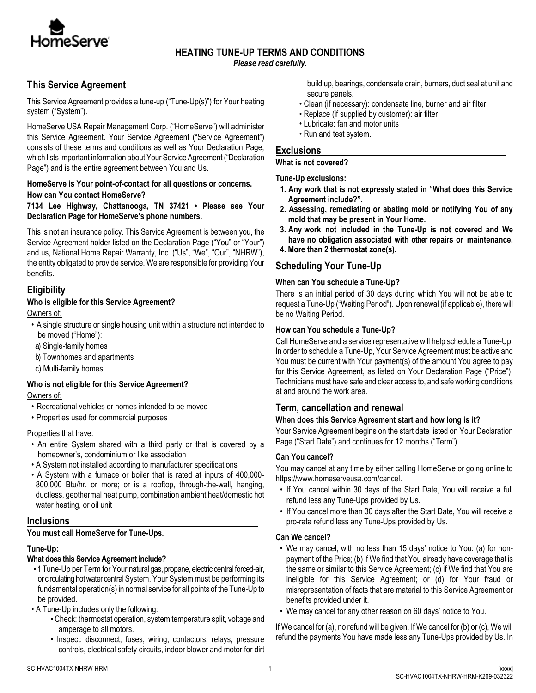

# **HEATING TUNE-UP TERMS AND CONDITIONS**

*Please read carefully.*

# **This Service Agreement**

This Service Agreement provides a tune-up ("Tune-Up(s)") for Your heating system ("System").

HomeServe USA Repair Management Corp. ("HomeServe") will administer this Service Agreement. Your Service Agreement ("Service Agreement") consists of these terms and conditions as well as Your Declaration Page, which lists important information about Your Service Agreement ("Declaration Page") and is the entire agreement between You and Us.

### **HomeServe is Your point-of-contact for all questions or concerns. How can You contact HomeServe?**

**7134 Lee Highway, Chattanooga, TN 37421 • Please see Your Declaration Page for HomeServe's phone numbers.** 

This is not an insurance policy. This Service Agreement is between you, the Service Agreement holder listed on the Declaration Page ("You" or "Your") and us, National Home Repair Warranty, Inc. ("Us", "We", "Our", "NHRW"), the entity obligated to provide service. We are responsible for providing Your benefits.

# **Eligibility**

## **Who is eligible for this Service Agreement?**

Owners of:

- A single structure or single housing unit within a structure not intended to be moved ("Home"):
- a) Single-family homes
- b) Townhomes and apartments
- c) Multi-family homes

## **Who is not eligible for this Service Agreement?**

Owners of:

- Recreational vehicles or homes intended to be moved
- Properties used for commercial purposes

#### Properties that have:

- An entire System shared with a third party or that is covered by a homeowner's, condominium or like association
- A System not installed according to manufacturer specifications
- A System with a furnace or boiler that is rated at inputs of 400,000- 800,000 Btu/hr. or more; or is a rooftop, through-the-wall, hanging, ductless, geothermal heat pump, combination ambient heat/domestic hot water heating, or oil unit

## **Inclusions**

#### **You must call HomeServe for Tune-Ups.**

#### **Tune-Up:**

## **What does this Service Agreement include?**

• 1 Tune-Up per Term for Your natural gas, propane, electric central forced-air, or circulating hot water central System. Your System must be performing its fundamental operation(s) in normal service for all points of the Tune-Up to be provided.

• A Tune-Up includes only the following:

- Check: thermostat operation, system temperature split, voltage and amperage to all motors.
- Inspect: disconnect, fuses, wiring, contactors, relays, pressure controls, electrical safety circuits, indoor blower and motor for dirt

build up, bearings, condensate drain, burners, duct seal at unit and secure panels.

- Clean (if necessary): condensate line, burner and air filter.
- Replace (if supplied by customer): air filter
- Lubricate: fan and motor units
- Run and test system.

## **Exclusions**

#### **What is not covered?**

### **Tune-Up exclusions:**

- **1. Any work that is not expressly stated in "What does this Service Agreement include?".**
- **2. Assessing, remediating or abating mold or notifying You of any mold that may be present in Your Home.**
- **3. Any work not included in the Tune-Up is not covered and We have no obligation associated with other repairs or maintenance.**
- **4. More than 2 thermostat zone(s).**

# **Scheduling Your Tune-Up**

## **When can You schedule a Tune-Up?**

There is an initial period of 30 days during which You will not be able to request a Tune-Up ("Waiting Period"). Upon renewal (if applicable), there will be no Waiting Period.

### **How can You schedule a Tune-Up?**

Call HomeServe and a service representative will help schedule a Tune-Up. In order to schedule a Tune-Up, Your Service Agreement must be active and You must be current with Your payment(s) of the amount You agree to pay for this Service Agreement, as listed on Your Declaration Page ("Price"). Technicians must have safe and clear access to, and safe working conditions at and around the work area.

# **Term, cancellation and renewal**

## **When does this Service Agreement start and how long is it?**

Your Service Agreement begins on the start date listed on Your Declaration Page ("Start Date") and continues for 12 months ("Term").

## **Can You cancel?**

You may cancel at any time by either calling HomeServe or going online to https://www.homeserveusa.com/cancel.

- If You cancel within 30 days of the Start Date, You will receive a full refund less any Tune-Ups provided by Us.
- If You cancel more than 30 days after the Start Date, You will receive a pro-rata refund less any Tune-Ups provided by Us.

#### **Can We cancel?**

- We may cancel, with no less than 15 days' notice to You: (a) for nonpayment of the Price; (b) if We find that You already have coverage that is the same or similar to this Service Agreement; (c) if We find that You are ineligible for this Service Agreement; or (d) for Your fraud or misrepresentation of facts that are material to this Service Agreement or benefits provided under it.
- We may cancel for any other reason on 60 days' notice to You.

If We cancel for (a), no refund will be given. If We cancel for (b) or (c), We will refund the payments You have made less any Tune-Ups provided by Us. In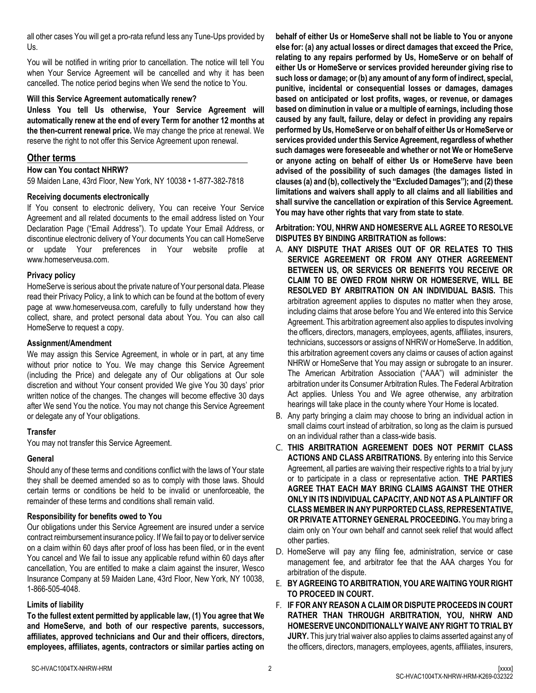all other cases You will get a pro-rata refund less any Tune-Ups provided by Us.

You will be notified in writing prior to cancellation. The notice will tell You when Your Service Agreement will be cancelled and why it has been cancelled. The notice period begins when We send the notice to You.

### **Will this Service Agreement automatically renew?**

**Unless You tell Us otherwise, Your Service Agreement will automatically renew at the end of every Term for another 12 months at the then-current renewal price.** We may change the price at renewal. We reserve the right to not offer this Service Agreement upon renewal.

## **Other terms**

**How can You contact NHRW?**

59 Maiden Lane, 43rd Floor, New York, NY 10038 • 1-877-382-7818

### **Receiving documents electronically**

If You consent to electronic delivery, You can receive Your Service Agreement and all related documents to the email address listed on Your Declaration Page ("Email Address"). To update Your Email Address, or discontinue electronic delivery of Your documents You can call HomeServe or update Your preferences in Your website profile at www.homeserveusa.com.

### **Privacy policy**

HomeServe is serious about the private nature of Your personal data. Please read their Privacy Policy, a link to which can be found at the bottom of every page at www.homeserveusa.com, carefully to fully understand how they collect, share, and protect personal data about You. You can also call HomeServe to request a copy.

### **Assignment/Amendment**

We may assign this Service Agreement, in whole or in part, at any time without prior notice to You. We may change this Service Agreement (including the Price) and delegate any of Our obligations at Our sole discretion and without Your consent provided We give You 30 days' prior written notice of the changes. The changes will become effective 30 days after We send You the notice. You may not change this Service Agreement or delegate any of Your obligations.

## **Transfer**

You may not transfer this Service Agreement.

## **General**

Should any of these terms and conditions conflict with the laws of Your state they shall be deemed amended so as to comply with those laws. Should certain terms or conditions be held to be invalid or unenforceable, the remainder of these terms and conditions shall remain valid.

## **Responsibility for benefits owed to You**

Our obligations under this Service Agreement are insured under a service contract reimbursement insurance policy. If We fail to pay or to deliver service on a claim within 60 days after proof of loss has been filed, or in the event You cancel and We fail to issue any applicable refund within 60 days after cancellation, You are entitled to make a claim against the insurer, Wesco Insurance Company at 59 Maiden Lane, 43rd Floor, New York, NY 10038, 1-866-505-4048.

#### **Limits of liability**

**To the fullest extent permitted by applicable law, (1) You agree that We and HomeServe, and both of our respective parents, successors, affiliates, approved technicians and Our and their officers, directors, employees, affiliates, agents, contractors or similar parties acting on**  **behalf of either Us or HomeServe shall not be liable to You or anyone else for: (a) any actual losses or direct damages that exceed the Price, relating to any repairs performed by Us, HomeServe or on behalf of either Us or HomeServe or services provided hereunder giving rise to such loss or damage; or (b) any amount of any form of indirect, special, punitive, incidental or consequential losses or damages, damages based on anticipated or lost profits, wages, or revenue, or damages based on diminution in value or a multiple of earnings, including those caused by any fault, failure, delay or defect in providing any repairs performed by Us, HomeServe or on behalf of either Us or HomeServe or services provided under this Service Agreement, regardless of whether such damages were foreseeable and whether or not We or HomeServe or anyone acting on behalf of either Us or HomeServe have been advised of the possibility of such damages (the damages listed in clauses (a) and (b), collectively the "Excluded Damages"); and (2) these limitations and waivers shall apply to all claims and all liabilities and shall survive the cancellation or expiration of this Service Agreement. You may have other rights that vary from state to state**.

**Arbitration: YOU, NHRW AND HOMESERVE ALL AGREE TO RESOLVE DISPUTES BY BINDING ARBITRATION as follows:** 

- A. **ANY DISPUTE THAT ARISES OUT OF OR RELATES TO THIS SERVICE AGREEMENT OR FROM ANY OTHER AGREEMENT BETWEEN US, OR SERVICES OR BENEFITS YOU RECEIVE OR CLAIM TO BE OWED FROM NHRW OR HOMESERVE, WILL BE RESOLVED BY ARBITRATION ON AN INDIVIDUAL BASIS.** This arbitration agreement applies to disputes no matter when they arose, including claims that arose before You and We entered into this Service Agreement. This arbitration agreement also applies to disputes involving the officers, directors, managers, employees, agents, affiliates, insurers, technicians, successors or assigns of NHRW or HomeServe. In addition, this arbitration agreement covers any claims or causes of action against NHRW or HomeServe that You may assign or subrogate to an insurer. The American Arbitration Association ("AAA") will administer the arbitration under its Consumer Arbitration Rules. The Federal Arbitration Act applies. Unless You and We agree otherwise, any arbitration hearings will take place in the county where Your Home is located.
- B. Any party bringing a claim may choose to bring an individual action in small claims court instead of arbitration, so long as the claim is pursued on an individual rather than a class-wide basis.
- C. **THIS ARBITRATION AGREEMENT DOES NOT PERMIT CLASS ACTIONS AND CLASS ARBITRATIONS.** By entering into this Service Agreement, all parties are waiving their respective rights to a trial by jury or to participate in a class or representative action. **THE PARTIES AGREE THAT EACH MAY BRING CLAIMS AGAINST THE OTHER ONLY IN ITS INDIVIDUAL CAPACITY, AND NOT AS A PLAINTIFF OR CLASS MEMBER IN ANY PURPORTED CLASS, REPRESENTATIVE, OR PRIVATE ATTORNEY GENERAL PROCEEDING.** You may bring a claim only on Your own behalf and cannot seek relief that would affect other parties.
- D. HomeServe will pay any filing fee, administration, service or case management fee, and arbitrator fee that the AAA charges You for arbitration of the dispute.
- E. **BY AGREEING TO ARBITRATION, YOU ARE WAITING YOUR RIGHT TO PROCEED IN COURT.**
- F. **IF FOR ANY REASON A CLAIM OR DISPUTE PROCEEDS IN COURT RATHER THAN THROUGH ARBITRATION, YOU, NHRW AND HOMESERVE UNCONDITIONALLY WAIVE ANY RIGHT TO TRIAL BY JURY.** This jury trial waiver also applies to claims asserted against any of the officers, directors, managers, employees, agents, affiliates, insurers,